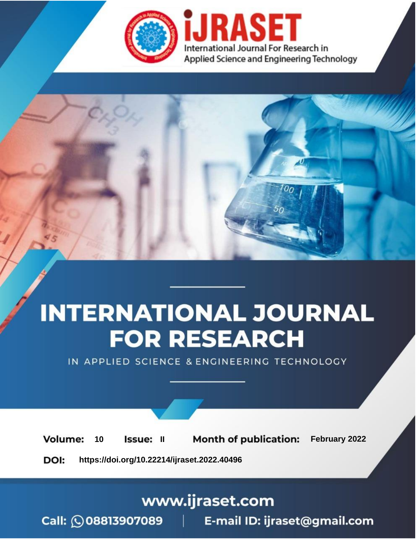

# **INTERNATIONAL JOURNAL FOR RESEARCH**

IN APPLIED SCIENCE & ENGINEERING TECHNOLOGY

**Month of publication:** February 2022 **Volume:** 10 **Issue: II** DOI: https://doi.org/10.22214/ijraset.2022.40496

www.ijraset.com

 $Call: \bigcirc$ 08813907089 E-mail ID: ijraset@gmail.com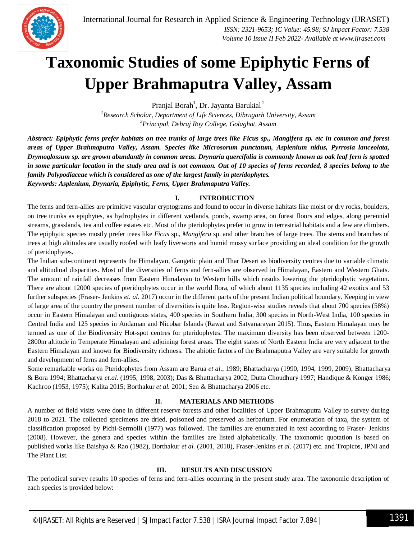

### **Taxonomic Studies of some Epiphytic Ferns of Upper Brahmaputra Valley, Assam**

Pranjal Borah<sup>1</sup>, Dr. Jayanta Barukial<sup>2</sup>

*<sup>1</sup>Research Scholar, Department of Life Sciences, Dibrugarh University, Assam <sup>2</sup>Principal, Debraj Roy College, Golaghat, Assam*

*Abstract: Epiphytic ferns prefer habitats on tree trunks of large trees like Ficus sp., Mangifera sp. etc in common and forest areas of Upper Brahmaputra Valley, Assam. Species like Microsorum punctatum, Asplenium nidus, Pyrrosia lanceolata, Drymoglossum sp. are grown abundantly in common areas. Drynaria quercifolia is commonly known as oak leaf fern is spotted in some particular location in the study area and is not common. Out of 10 species of ferns recorded, 8 species belong to the family Polypodiaceae which is considered as one of the largest family in pteridophytes. Keywords: Asplenium, Drynaria, Epiphytic, Ferns, Upper Brahmaputra Valley.*

#### **I. INTRODUCTION**

The ferns and fern-allies are primitive vascular cryptograms and found to occur in diverse habitats like moist or dry rocks, boulders, on tree trunks as epiphytes, as hydrophytes in different wetlands, ponds, swamp area, on forest floors and edges, along perennial streams, grasslands, tea and coffee estates etc. Most of the pteridophytes prefer to grow in terrestrial habitats and a few are climbers. The epiphytic species mostly prefer trees like *Ficus* sp., *Mangifera* sp. and other branches of large trees. The stems and branches of trees at high altitudes are usually roofed with leafy liverworts and humid mossy surface providing an ideal condition for the growth of pteridophytes.

The Indian sub-continent represents the Himalayan, Gangetic plain and Thar Desert as biodiversity centres due to variable climatic and altitudinal disparities. Most of the diversities of ferns and fern-allies are observed in Himalayan, Eastern and Western Ghats. The amount of rainfall decreases from Eastern Himalayan to Western hills which results lowering the pteridophytic vegetation. There are about 12000 species of pteridophytes occur in the world flora, of which about 1135 species including 42 exotics and 53 further subspecies (Fraser- Jenkins *et. al.* 2017) occur in the different parts of the present Indian political boundary. Keeping in view of large area of the country the present number of diversities is quite less. Region-wise studies reveals that about 700 species (58%) occur in Eastern Himalayan and contiguous states, 400 species in Southern India, 300 species in North-West India, 100 species in Central India and 125 species in Andaman and Nicobar Islands (Rawat and Satyanarayan 2015). Thus, Eastern Himalayan may be termed as one of the Biodiversity Hot-spot centres for pteridophytes. The maximum diversity has been observed between 1200- 2800m altitude in Temperate Himalayan and adjoining forest areas. The eight states of North Eastern India are very adjacent to the Eastern Himalayan and known for Biodiversity richness. The abiotic factors of the Brahmaputra Valley are very suitable for growth and development of ferns and fern-allies.

Some remarkable works on Pteridophytes from Assam are Barua *et al*., 1989; Bhattacharya (1990, 1994, 1999, 2009); Bhattacharya & Bora 1994; Bhattacharya *et.al.* (1995, 1998, 2003); Das & Bhattacharya 2002; Dutta Choudhury 1997; Handique & Konger 1986; Kachroo (1953, 1975); Kalita 2015; Borthakur *et al.* 2001; Sen & Bhattacharya 2006 etc.

#### **II. MATERIALS AND METHODS**

A number of field visits were done in different reserve forests and other localities of Upper Brahmaputra Valley to survey during 2018 to 2021. The collected specimens are dried, poisoned and preserved as herbarium. For enumeration of taxa, the system of classification proposed by Pichi-Sermolli (1977) was followed. The families are enumerated in text according to Fraser- Jenkins (2008). However, the genera and species within the families are listed alphabetically. The taxonomic quotation is based on published works like Baishya & Rao (1982), Borthakur *et al.* (2001, 2018), Fraser-Jenkins *et al.* (2017) etc. and Tropicos, IPNI and The Plant List.

#### **III. RESULTS AND DISCUSSION**

The periodical survey results 10 species of ferns and fern-allies occurring in the present study area. The taxonomic description of each species is provided below: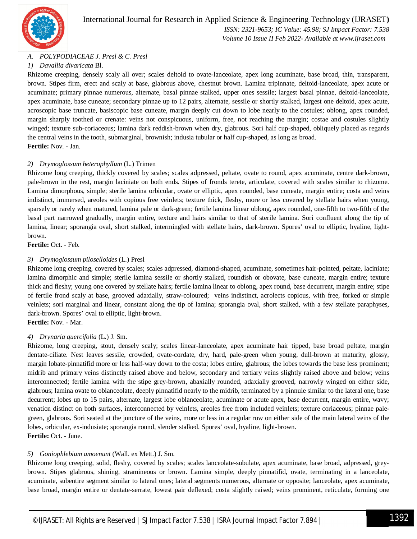

#### International Journal for Research in Applied Science & Engineering Technology (IJRASET**)**

 *ISSN: 2321-9653; IC Value: 45.98; SJ Impact Factor: 7.538 Volume 10 Issue II Feb 2022- Available at www.ijraset.com*

#### *A. POLYPODIACEAE J. Presl & C. Presl*

#### *1) Davallia divaricata* Bl.

Rhizome creeping, densely scaly all over; scales deltoid to ovate-lanceolate, apex long acuminate, base broad, thin, transparent, brown. Stipes firm, erect and scaly at base, glabrous above, chestnut brown. Lamina tripinnate, deltoid-lanceolate, apex acute or acuminate; primary pinnae numerous, alternate, basal pinnae stalked, upper ones sessile; largest basal pinnae, deltoid-lanceolate, apex acuminate, base cuneate; secondary pinnae up to 12 pairs, alternate, sessile or shortly stalked, largest one deltoid, apex acute, acroscopic base truncate, basiscopic base cuneate, margin deeply cut down to lobe nearly to the costules; oblong, apex rounded, margin sharply toothed or crenate: veins not conspicuous, uniform, free, not reaching the margin; costae and costules slightly winged; texture sub-coriaceous; lamina dark reddish-brown when dry, glabrous. Sori half cup-shaped, obliquely placed as regards the central veins in the tooth, submarginal, brownish; indusia tubular or half cup-shaped, as long as broad. **Fertile:** Nov. - Jan.

#### *2) Drymoglossum heterophyllum* (L.) Trimen

Rhizome long creeping, thickly covered by scales; scales adpressed, peltate, ovate to round, apex acuminate, centre dark-brown, pale-brown in the rest, margin laciniate on both ends. Stipes of fronds terete, articulate, covered with scales similar to rhizome. Lamina dimorphous, simple; sterile lamina orbicular, ovate or elliptic, apex rounded, base cuneate, margin entire; costa and veins indistinct, immersed, areoles with copious free veinlets; texture thick, fleshy, more or less covered by stellate hairs when young, sparsely or rarely when matured, lamina pale or dark-green; fertile lamina linear oblong, apex rounded, one-fifth to two-fifth of the basal part narrowed gradually, margin entire, texture and hairs similar to that of sterile lamina. Sori confluent along the tip of lamina, linear; sporangia oval, short stalked, intermingled with stellate hairs, dark-brown. Spores' oval to elliptic, hyaline, lightbrown.

**Fertile:** Oct. - Feb.

#### *3) Drymoglossum piloselloides* (L.) Presl

Rhizome long creeping, covered by scales; scales adpressed, diamond-shaped, acuminate, sometimes hair-pointed, peltate, laciniate; lamina dimorphic and simple; sterile lamina sessile or shortly stalked, roundish or obovate, base cuneate, margin entire; texture thick and fleshy; young one covered by stellate hairs; fertile lamina linear to oblong, apex round, base decurrent, margin entire; stipe of fertile frond scaly at base, grooved adaxially, straw-coloured; veins indistinct, acrolects copious, with free, forked or simple veinlets; sori marginal and linear, constant along the tip of lamina; sporangia oval, short stalked, with a few stellate paraphyses, dark-brown. Spores' oval to elliptic, light-brown.

**Fertile:** Nov. - Mar.

#### *4) Drynaria quercifolia* (L.) J. Sm.

Rhizome, long creeping, stout, densely scaly; scales linear-lanceolate, apex acuminate hair tipped, base broad peltate, margin dentate-ciliate. Nest leaves sessile, crowded, ovate-cordate, dry, hard, pale-green when young, dull-brown at maturity, glossy, margin lobate-pinnatifid more or less half-way down to the costa; lobes entire, glabrous; the lobes towards the base less prominent; midrib and primary veins distinctly raised above and below, secondary and tertiary veins slightly raised above and below; veins interconnected; fertile lamina with the stipe grey-brown, abaxially rounded, adaxially grooved, narrowly winged on either side, glabrous; lamina ovate to oblanceolate, deeply pinnatifid nearly to the midrib, terminated by a pinnule similar to the lateral one, base decurrent; lobes up to 15 pairs, alternate, largest lobe oblanceolate, acuminate or acute apex, base decurrent, margin entire, wavy; venation distinct on both surfaces, interconnected by veinlets, areoles free from included veinlets; texture coriaceous; pinnae palegreen, glabrous. Sori seated at the juncture of the veins, more or less in a regular row on either side of the main lateral veins of the lobes, orbicular, ex-indusiate; sporangia round, slender stalked. Spores' oval, hyaline, light-brown. **Fertile:** Oct. - June.

#### *5) Goniophlebium amoenunt* (Wall. ex Mett.) J. Sm.

Rhizome long creeping, solid, fleshy, covered by scales; scales lanceolate-subulate, apex acuminate, base broad, adpressed, greybrown. Stipes glabrous, shining, stramineous or brown. Lamina simple, deeply pinnatifid, ovate, terminating in a lanceolate, acuminate, subentire segment similar to lateral ones; lateral segments numerous, alternate or opposite; lanceolate, apex acuminate, base broad, margin entire or dentate-serrate, lowest pair deflexed; costa slightly raised; veins prominent, reticulate, forming one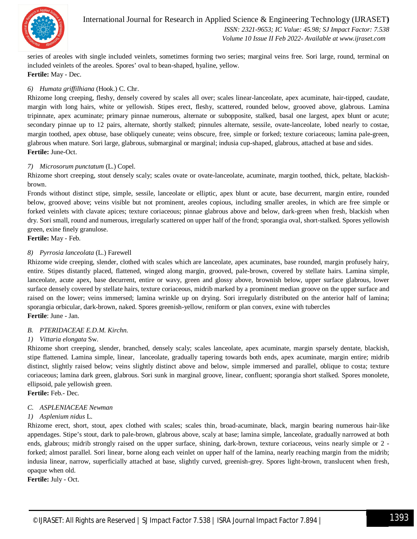

International Journal for Research in Applied Science & Engineering Technology (IJRASET**)**  *ISSN: 2321-9653; IC Value: 45.98; SJ Impact Factor: 7.538 Volume 10 Issue II Feb 2022- Available at www.ijraset.com*

series of areoles with single included veinlets, sometimes forming two series; marginal veins free. Sori large, round, terminal on included veinlets of the areoles. Spores' oval to bean-shaped, hyaline, yellow. **Fertile:** May - Dec.

#### *6) Humata griffilhiana* (Hook.) C. Chr.

Rhizome long creeping, fleshy, densely covered by scales all over; scales linear-lanceolate, apex acuminate, hair-tipped, caudate, margin with long hairs, white or yellowish. Stipes erect, fleshy, scattered, rounded below, grooved above, glabrous. Lamina tripinnate, apex acuminate; primary pinnae numerous, alternate or subopposite, stalked, basal one largest, apex blunt or acute; secondary pinnae up to 12 pairs, alternate, shortly stalked; pinnules alternate, sessile, ovate-lanceolate, lobed nearly to costae, margin toothed, apex obtuse, base obliquely cuneate; veins obscure, free, simple or forked; texture coriaceous; lamina pale-green, glabrous when mature. Sori large, glabrous, submarginal or marginal; indusia cup-shaped, glabrous, attached at base and sides. **Fertile:** June-Oct.

#### *7) Microsorum punctatum* (L.) Copel.

Rhizome short creeping, stout densely scaly; scales ovate or ovate-lanceolate, acuminate, margin toothed, thick, peltate, blackishbrown.

Fronds without distinct stipe, simple, sessile, lanceolate or elliptic, apex blunt or acute, base decurrent, margin entire, rounded below, grooved above; veins visible but not prominent, areoles copious, including smaller areoles, in which are free simple or forked veinlets with clavate apices; texture coriaceous; pinnae glabrous above and below, dark-green when fresh, blackish when dry. Sori small, round and numerous, irregularly scattered on upper half of the frond; sporangia oval, short-stalked. Spores yellowish green, exine finely granulose.

**Fertile:** May - Feb.

#### *8) Pyrrosia lanceolata* (L.) Farewell

Rhizome wide creeping, slender, clothed with scales which are lanceolate, apex acuminates, base rounded, margin profusely hairy, entire. Stipes distantly placed, flattened, winged along margin, grooved, pale-brown, covered by stellate hairs. Lamina simple, lanceolate, acute apex, base decurrent, entire or wavy, green and glossy above, brownish below, upper surface glabrous, lower surface densely covered by stellate hairs, texture coriaceous, midrib marked by a prominent median groove on the upper surface and raised on the lower; veins immersed; lamina wrinkle up on drying. Sori irregularly distributed on the anterior half of lamina; sporangia orbicular, dark-brown, naked. Spores greenish-yellow, reniform or plan convex, exine with tubercles **Fertile**: June - Jan.

#### *B. PTERIDACEAE E.D.M. Kirchn.*

#### *1) Vittaria elongata* Sw.

Rhizome short creeping, slender, branched, densely scaly; scales lanceolate, apex acuminate, margin sparsely dentate, blackish, stipe flattened. Lamina simple, linear, lanceolate, gradually tapering towards both ends, apex acuminate, margin entire; midrib distinct, slightly raised below; veins slightly distinct above and below, simple immersed and parallel, oblique to costa; texture coriaceous; lamina dark green, glabrous. Sori sunk in marginal groove, linear, confluent; sporangia short stalked. Spores monolete, ellipsoid, pale yellowish green.

**Fertile:** Feb.- Dec.

#### *C. ASPLENIACEAE Newman*

#### *1) Asplenium nidus* L.

Rhizome erect, short, stout, apex clothed with scales; scales thin, broad-acuminate, black, margin bearing numerous hair-like appendages. Stipe's stout, dark to pale-brown, glabrous above, scaly at base; lamina simple, lanceolate, gradually narrowed at both ends, glabrous; midrib strongly raised on the upper surface, shining, dark-brown, texture coriaceous, veins nearly simple or 2 forked; almost parallel. Sori linear, borne along each veinlet on upper half of the lamina, nearly reaching margin from the midrib; indusia linear, narrow, superficially attached at base, slightly curved, greenish-grey. Spores light-brown, translucent when fresh, opaque when old.

**Fertile:** July - Oct.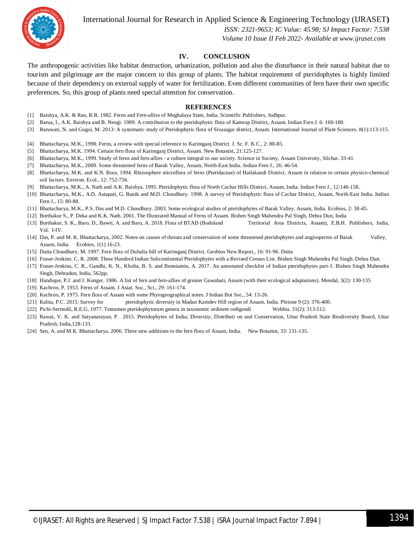International Journal for Research in Applied Science & Engineering Technology (IJRASET**)**



 *ISSN: 2321-9653; IC Value: 45.98; SJ Impact Factor: 7.538 Volume 10 Issue II Feb 2022- Available at www.ijraset.com*

#### **IV. CONCLUSION**

The anthropogenic activities like habitat destruction, urbanization, pollution and also the disturbance in their natural habitat due to tourism and pilgrimage are the major concern to this group of plants. The habitat requirement of pteridophytes is highly limited because of their dependency on external supply of water for fertilization. Even different communities of fern have their own specific preferences. So, this group of plants need special attention for conservation.

#### **REFERENCES**

- [1] Baishya, A.K. & Rao, R.R. 1982. Ferns and Fern-allies of Meghalaya State, India. Scientific Publishers, Jodhpur.
- [2] Barua, I., A.K. Baishya and B. Neogi. 1989. A contribution to the pteridophytic flora of Kamrup District, Assam. Indian Fern J. 6: 160-180.
- [3] Baruwati, N. and Gogoi, M. 2013: A systematic study of Pteridophytic flora of Sivasagar district, Assam. International Journal of Plant Sciences. 8(1):113-115.
- [4] Bhattacharya, M.K., 1990. Ferns, a review with special reference to Karimganj District. J. Sc. F. K C., 2: 80-85.
- [5] Bhattacharya, M.K. 1994. Certain fern flora of Karimganj District, Assam. New Botanist, 21:125-127.
- [6] Bhattacharya, M.K., 1999. Study of ferns and fern-allies a culture integral to our society. Science in Society, Assam University, Silchar. 33-41.
- [7] Bhattacharya, M.K., 2009. Some threatened ferns of Barak Valley, Assam, North-East India. Indian Fern J., 26: 46-54.
- [8] Bhattacharya, M.K. and K.N. Bora, 1994. Rhizosphere microflora of ferns (Pteridaceae) of Hailakandi District, Assam in relation to certain physico-chemical soil factors. Environ. Ecol., 12: 752-756.
- [9] Bhattacharya, M.K., A. Nath and A.K. Baishya. 1995. Pteridophytic flora of North Cachar Hills District, Assam, India. Indian Fern J., 12:146-158.
- [10] Bhattacharya, M.K., A.D. Astapati, G. Banik and M.D. Choudhury. 1998. A survey of Pteridophytic flora of Cachar District, Assam, North-East India. Indian Fern J., 15: 80-88.
- [11] Bhattacharya, M.K., P.S. Das and M.D. Choudhury. 2003. Some ecological studies of pteridophytes of Barak Valley, Assam, India. Ecobios, 2: 38-45.
- [12] Borthakur S., P. Deka and K.K. Nath. 2001. The Illustrated Manual of Ferns of Assam. Bishen Singh Mahendra Pal Singh, Dehra Dun, India
- [13] Borthakur, S. K., Baro, D., Bawri, A. and Baro, A. 2018. Flora of BTAD (Bodoland Territorial Area Districts, Assam), E.B.H. Publishers, India, Vol. I-IV.
- [14] Das, P. and M. K. Bhattacharya, 2002. Notes on causes of threats and conservation of some threatened pteridophytes and angiosperms of Barak Valley, Assam, India. Ecobios, 1(1) 16-23.
- [15] Dutta Choudhury, M. 1997. Fern flora of Duhalia hill of Karimganj District. Geobios New Report., 16: 91-96. Dutta
- [16] Fraser-Jenkins. C. R. 2008. Three Hundred Indian Subcontinental Pteridophytes with a Revised Census List. Bishen Singh Mahendra Pal Singh. Dehra Dun.
- [17] Fraser-Jenkins, C. R., Gandhi, K. N., Kholia, B. S. and Benniamin, A. 2017. An annonated checklist of Indian pteridophytes part-1. Bishen Singh Mahendra Singh, Dehradun, India, 562pp.
- [18] Handique, P.J. and J. Konger. 1986. A list of fern and fern-allies of greater Guwahati, Assam (with their ecological adaptations). Mendal, 3(2): 130-135
- [19] Kachroo, P. 1953. Ferns of Assam. J Asiat. Soc., Sci., 29: 161-174.
- [20] Kachroo, P. 1975. Fern flora of Assam with some Phytogeographical notes. J Indian Bot Soc., 54: 13-26.
- [21] Kalita, P.C. 2015: Survey for pteridophytic diversity in Madan Kamdev Hill region of Assam, India. Pleione 9 (2): 376-400.
- [22] Pichi-Sermolli, R.E.G. 1977. Tentamen pteridophytorum genera in taxonomic ordinem redigendi Webbia. 31(2): 313-512.
- [23] Rawat, V. K. and Satyanarayan, P. 2015. Pteridophytes of India; Diversity, Distributi on and Conservation, Uttar Pradesh State Biodiversity Board, Uttar Pradesh, India,128-133.
- [24] Sen, A. and M.K. Bhattacharya. 2006. Three new additions to the fern flora of Assam, India. New Botanist, 33: 131-135.